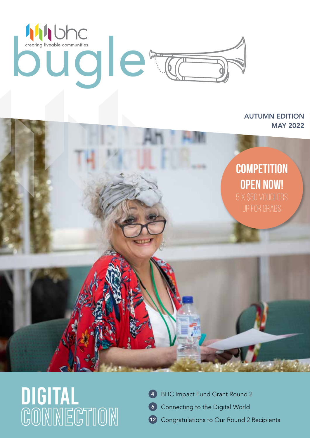

#### AUTUMN EDITION MAY 2022



# DIGITAL<br>CONNECTION

- 4 BHC Impact Fund Grant Round 2
- Connecting to the Digital World 6
- Congratulations to Our Round 2 Recipients  $(12)$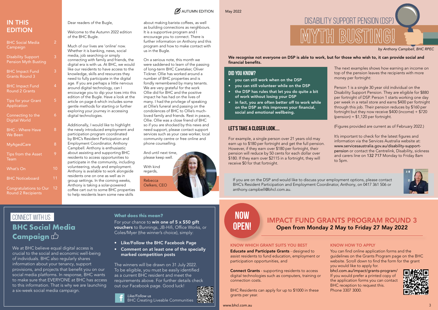Hreed

| <b>BHC Social Media</b><br>Campaign               | $\overline{2}$ |  |
|---------------------------------------------------|----------------|--|
| <b>Disability Support</b><br>Pension Myth Busting | 3              |  |
| <b>BHC Impact Fund</b><br><b>Grants Round 3</b>   | 3              |  |
| <b>BHC Impact Fund</b><br><b>Round 2 Grants</b>   | 4              |  |
| <b>Tips for your Grant</b><br>Application         | 5              |  |
| Connecting to the<br><b>Digital World</b>         | 6              |  |
| <b>BHC - Where Have</b><br><b>We Been</b>         | 8              |  |
| <b>MyAgedCare</b>                                 | 8              |  |
| Tips from the Asset<br>Team                       | 9              |  |
| <b>What's On</b>                                  | 10             |  |
| <b>BHC Noticeboard</b>                            | 11             |  |
| Congratulations to Our                            | 12             |  |

Round 2 Recipients

#### IN THIS EDITION

Dear readers of the Bugle,

Welcome to the Autumn 2022 edition of the BHC Bugle.

Much of our lives are 'online' now. Whether it is banking, news, social media, job searching or simply connecting with family and friends, the digital era is with us. At BHC, we would like our residents to have access to the knowledge, skills and resources they need to fully participate in the digital age. If you are perhaps a little nervous around digital technology, can I encourage you to dip your toes into this edition of the Bugle. Have a look at the article on page 6 which includes some gentle methods for starting or further exploring your journey in accessing digital technologies.

Additionally, I would like to highlight the newly introduced employment and participation program coordinated by BHC's Resident Participation and Employment Coordinator, Anthony Campbell. Anthony is enthusiastic about assisting and supporting BHC residents to access opportunities to participate in the community, including volunteering, study and employment. Anthony is available to work alongside residents one on one as well as in group settings. In the coming weeks, Anthony is taking a solar-powered coffee cart out to some BHC properties to help residents learn some new skills

 $\mathbb{R}$  AUTUMN EDITION May 2022

We recognise not everyone on DSP is able to work, but for those who wish to, it can provide social and financial benefits.

about making barista coffees, as well as building connections as neighbours. It is a supportive program and I encourage you to connect. There is further information on Anthony and this program and how to make contact with us in the Bugle.

> Person 1 is a single 30 year old individual on the Disability Support Pension. They are eligible for \$880 per fortnight of DSP. Person 1 starts working one day per week in a retail store and earns \$400 per fortnight through this job. Their pension reduces by \$160 per fortnight but they now receive \$400 (income) + \$720  $(pension) = $1,120$  per fortnight.

#### **BHC Social Media Campaign CONNECT WITH US CONNECT WITH US**

On a serious note, this month we were saddened to learn of the passing of long-term BHC Caretaker, Oliver Tickner. Ollie has worked around a number of BHC properties and is fondly remembered by many tenants. We are very grateful for the work Ollie did for BHC and the positive impact he has had on the lives of many. I had the privilege of speaking at Ollie's funeral and passing on the condolences of BHC to Ollie's muchloved family and friends. Rest in peace, Ollie. Ollie was a close friend of BHC so if you are shocked by this news and need support, please contact support services such as your case worker, local community centre or free online and phone counselling.

We at BHC believe equal digital access is crucial to the social and economic well-being of individuals. BHC also regularly shares information about your tenancy, support provisions, and projects that benefit you on our social media platforms. In response, BHC wants to make sure that EVERYONE at BHC has access to this information. That is why we are launching a six-week social media campaign.

For your chance to win one of 5 x \$50 gift vouchers to Bunnings, JB-Hifi, Office Works, or Coles/Myer (the winner's choice), simply:

And until next time, please keep well.

With kind regards,

> Rebecca Oelkers, CEO



### DISABILITY SUPPORT PENSION (DSP) Myth Busting!

*by Anthony Campbell, BHC RPEC*

#### **Did you know?**

- you can still work when on the DSP
- you can still volunteer while on the DSP
- the DSP has rules that let you do quite a bit of work without losing your DSP
- in fact, you are often better off to work while on the DSP as this improves your financial, social and emotional wellbeing.

#### **Let's take a closer look....**

For example, a single person over 21 years old may earn up to \$180 per fortnight and get the full pension. However, if they earn over \$180 per fortnight, their pension will reduce by 50 cents for each dollar over \$180. If they earn over \$2115 in a fortnight, they will receive \$0 for that fortnight.

The next examples shows how earning an income on top of the pension leaves the recipients with more money per fortnight:

(Figures provided are current as of February 2022.)

It's important to check for the latest figures and information via the Services Australia website at: www.servicesaustralia.gov.au/disability-supportpension or contact the Centrelink, Disability, sickness and carers line on 132 717 Monday to Friday 8am to 5pm.



#### **What does this mean?**

- Like/Follow the BHC Facebook Page
- Comment on at least one of the specially marked competition posts

The winners will be drawn on 31 July 2022. To be eligible, you must be easily identified as a current BHC resident and meet the requirements above. For further details check out our Facebook page. Good luck!



BHC Creating Liveable Communities



#### IMPACT FUND GRANTS PROGRAM ROUND 3 Open from Monday 2 May to Friday 27 May 2022

#### KNOW WHICH GRANT SUITS YOU BEST

Educate and Participate Grants - designed to assist residents to fund education, employment or participation opportunities, and

Connect Grants - supporting residents to access digital technologies such as computers, training or connection costs.

BHC Residents can apply for up to \$1000 in these grants per year.

#### KNOW HOW TO APPLY

You can find online application forms and the guidelines on the Grants Program page on the BHC website. Scroll down to find the form for the grant you would like to apply for.

bhcl.com.au/impact/grants-program/ If you would prefer a printed copy of the application forms you can contact BHC reception to request this. Phone 3307 3000.





If you are on the DSP and would like to discuss your employment options, please contact BHC's Resident Participation and Employment Coordinator, Anthony, on 0417 361 506 or anthony.campbell@bhcl.com.au.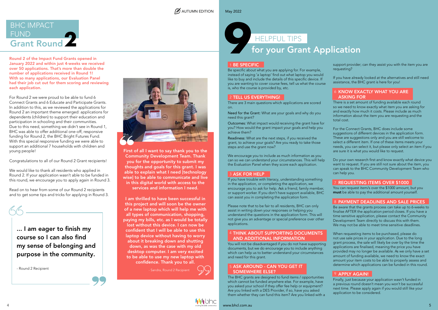

Round 2 of the Impact Fund Grants opened in January 2022 and within just 4-weeks we received over 50 applications. That's more than double the number of applications received in Round 1! With so many applications, our Evaluation Panel had their job cut out for them scoring and reviewing each application.

For Round 2 we were proud to be able to fund 6 Connect Grants and 6 Educate and Participate Grants. In addition to this, as we reviewed the applications for Round 2 an important theme emerged: applications for dependents (children) to support their education and participation in schooling and their communities. Due to this need, something we didn't see in Round 1, BHC was able to offer additional one-off, responsive funding for Round 2, the BHC Bright Futures Fund. With this special responsive funding we were able to support an additional 7 households with children and young people!

Congratulations to all of our Round 2 Grant recipients!

We would like to thank all residents who applied in Round 2. If your application wasn't able to be funded in this round, we encourage you to apply again in Round 3.

Read on to hear from some of our Round 2 recipients and to get some tips and tricks for applying in Round 3.

- Sandra, Round 2 Recipient





First of all I want to say thank you to the Community Development Team. Thank you for the opportunity to submit my thoughts and goals for this grant. I was able to explain what I need Itechnology wise] to be able to communicate and live in this digital world with access to the services and information I need.

#### 4 THINK ABOUT SUPPORTING DOCUMENTS AND ADDITIONAL INFORMATION

I am thrilled to have been successful in this project and will soon be the owner of a new laptop which will help me with all types of communication, shopping, paying my bills, etc. as I would be totally lost without this device. I can now be confident that I will be able to use this laptop device without having to worry about it breaking down and shutting down, as was the case with my old desktop computer. I am very excited to be able to use my new laptop with confidence. Thank you to all.

#### 6 KNOW EXACTLY WHAT YOU ARE ASKING FOR

Be specific about what you are applying for. For example, instead of saying 'a laptop' find out what laptop you would like to buy and include the details of this specific device. If you are wanting to cover course fees, tell us what the course is, who the course is provided by, etc.

#### 2 TELL US EVERYTHING!

There are 3 main questions which applications are scored on.

Need for the Grant: What are your goals and why do you need this grant?

> You can request item/s over the \$1000 amount, but you must be able to pay the additional amount yourself.

#### 8 PAYMENT DEADLINES AND SALE PRICES

Outcomes: What impact would receiving the grant have for you? How would the grant impact your goals and help you achieve them?

Readiness: What are the next steps, if you received the grant, to achieve your goals? Are you ready to take those steps and use the grant now?

We encourage you to include as much information as you can so we can understand your circumstances. This will help the Evaluation Panel when they score each application.

#### 3 ASK FOR HELP

#### 5 ASK AROUND - CAN YOU GET IT SOMEWHERE ELSE?

If you have trouble with literacy, understanding something in the application, or completing the application, we encourage you to ask for help. Ask a friend, family member, or support worker. If you don't have support available, BHC can assist you in completing the application form.

### FUND<br>Grant Round BHC IMPACT

Please note that to be fair to all residents, BHC can only assist in writing down your responses or helping you understand the questions in the application form. This will not give you an advantage or special preference over other applications.

You will not be disadvantaged if you do not have supporting documents, but we do encourage you to include anything which can help us to better understand your circumstances and need for this grant.

The BHC grants are designed to fund items / opportunities which cannot be funded anywhere else. For example, have you asked your school if they offer fee help or equipment? Are you linked with a DES Provider, if so, have you asked them whether they can fund this item? Are you linked with a

support provider; can they assist you with the item you are requesting?

If you have already looked at the alternatives and still need assistance, the BHC grant is here for you!

There is a set amount of funding available each round so we need to know exactly what item you are asking for and exactly how much it costs. Please include as much information about the item you are requesting and the total cost.

For the Connect Grants, BHC does include some suggestions of different devices in the application form. These are suggestions only and you are still welcome to select a different item. If one of these items meets your needs, you can select it, but please only select an item if you are sure it is what you would like to request.

Do your own research first and know exactly what device you want to request. If you are still not sure about the item, you can speak to the BHC Community Development Team who can help you.

#### 7 REQUESTING ITEMS OVER \$1000

Be aware that the grants process can take up to 6-weeks to finalise AFTER the application period closes. If you have a time sensitive application, please contact the Community Development Team directly to discuss this with them. We may not be able to meet time sensitive deadlines.

When requesting items to be purchased, please do not use sale prices in your application. Due to the long grant process, the sale will likely be over by the time the applications are finalised, meaning the price you have provided may no longer be available. As we only have a set amount of funding available, we need to know the exact amount your item costs to be able to properly assess and determine which applications can be funded in this round.

#### 9 APPLY AGAIN!

Finally, just because your application wasn't funded in a previous round doesn't mean you won't be successful next time. Please apply again if you would still like your application to be considered.

- Round 2 Recipient



### for your Grant Application HELPFUL TIPS **9**

#### 1 BE SPECIFIC

... I am eager to finish my course so I can also find my sense of belonging and purpose in the community.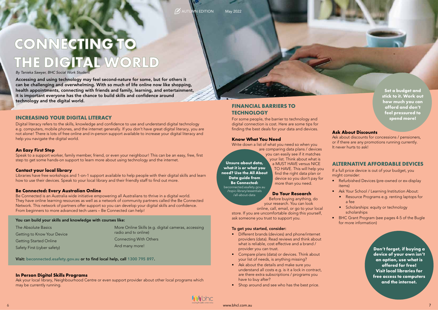## **CONNECTING TO THE DIGITAL WORLD**

Accessing and using technology may feel second-nature for some, but for others it can be challenging and overwhelming. With so much of life online now like shopping, health appointments, connecting with friends and family, learning, and entertainment, it is important everyone has the chance to build skills and confidence around technology and the digital world.

#### **INCREASING YOUR DIGITAL LITERACY**

Digital literacy refers to the skills, knowledge and confidence to use and understand digital technology e.g. computers, mobile phones, and the internet generally. If you don't have great digital literacy, you are not alone! There is lots of free online and in-person support available to increase your digital literacy and help you navigate the digital world.

#### **An Easy First Step**

Speak to a support worker, family member, friend, or even your neighbour! This can be an easy, free, first step to get some hands-on support to learn more about using technology and the internet.

#### **Contact your local library**

Libraries have free workshops and 1-on-1 support available to help people with their digital skills and learn how to use their devices. Speak to your local library and their friendly staff to find out more.

#### **Be Connected: Every Australian Online**

- Different brands (devices) and phone/internet providers (data). Read reviews and think about what is reliable, cost effective and a brand / provider you can trust.
- Compare plans (data) or devices. Think about your list of needs, is anything missing?
- Ask about the details and make sure you understand all costs e.g. is it a lock in contract, are there extra subscriptions / programs you have to buy after?
- Shop around and see who has the best price.

www.bhcl.com.au 7 - 2000 - 2000 - 2000 - 2000 - 2000 - 2000 - 2000 - 2000 - 2000 - 2000 - 2000 - 2000 - 2000 -

Be Connected is an Australia wide initiative empowering all Australians to thrive in a digital world. They have online learning resources as well as a network of community partners called the Be Connected Network. This network of partners offer support so you can develop your digital skills and confidence. From beginners to more advanced tech users – Be Connected can help!

#### You can build your skills and knowledge with courses like:

Visit: beconnected.esafety.gov.au or to find local help, call 1300 795 897.

#### **In Person Digital Skills Programs**

Ask your local library, Neighbourhood Centre or even support provider about other local programs which may be currently running.



#### **FINANCIAL BARRIERS TO TECHNOLOGY**

For some people, the barrier to technology and digital connection is cost. Here are some tips for finding the best deals for your data and devices.

#### **Know What You Need**

Write down a list of what you need so when you

are comparing data plans / devices

you can easily see if it matches your list. Think about what is a MUST HAVE versus NICE TO HAVE. This will help you find the right data plan or device so you don't pay for more than you need.

#### **Do Your Research**

Before buying anything, do your research. You can look

online, call, email, or go to your local store. If you are uncomfortable doing this yourself, ask someone you trust to support you.

#### To get you started, consider:

#### **Ask About Discounts**

Ask about discounts for concessions / pensioners, or if there are any promotions running currently. It never hurts to ask!

#### **ALTERNATIVE AFFORDABLE DEVICES**

If a full price device is out of your budget, you might consider:

- Refurbished Devices (pre-owned or ex-display items)
- Ask Your School / Learning Institution About:
	- Resource Programs e.g. renting laptops for a fee
	- Scholarships: equity or technology scholarships
- BHC Grant Program (see pages 4-5 of the Bugle for more information)

**Set a budget and stick to it. Work out how much you can afford and don't feel pressured to spend more!**

**Unsure about data, what it is or what you need? Use the All About Data guide from Be Connected:** beconnected.esafety.gov.au /topic-library/essentials /all-about-data

> **Don't forget, if buying a device of your own isn't an option, use what is offered for free! Visit local libraries for free access to computers and the internet.**

The Absolute Basics Getting to Know Your Device Getting Started Online Safety First (cyber safety)

More Online Skills (e.g. digital cameras, accessing radio and tv online) Connecting With Others And many more!

*By Tanieka Sawyer, BHC Social Work Student*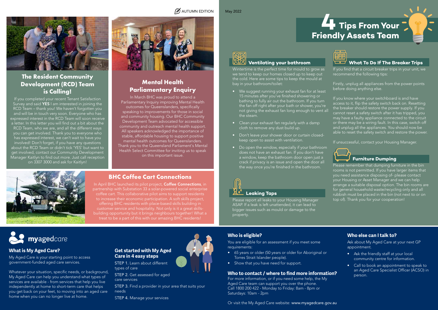#### **Ventilating your bathroom**

Wintertime is the perfect time for mould to grow as we tend to keep our homes closed up to keep out the cold. Here are some tips to keep the mould at bay in your bathroom/toilet:

- We suggest running your exhaust fan for at least 15 minutes after you've finished showering or bathing to fully air out the bathroom. If you turn the fan off right after your bath or shower, you're not giving the exhaust fan long enough to vent all the steam.
- Clean your exhaust fan regularly with a damp cloth to remove any dust build up.
- Don't leave your shower door or curtain closedkeep open to assist with ventilation.
- Do open the window, especially if your bathroom does not have an exhaust fan. If you don't have a window, keep the bathroom door open just a crack if privacy is an issue and open the door all the way once you're finished in the bathroom.



#### í  **Furniture Dumping**

#### **Leaking Taps**

Please report all leaks to your Housing Manager ASAP. If a leak is left unattended, it can lead to bigger issues such as mould or damage to the property.

If you find that a circuit breaker trips in your unit, we recommend the following tips:

Firstly, unplug all appliances from the power points before doing anything else.

In April BHC launched its pilot project, Coffee Connections, in partnership with Substation 33 a solar-powered social enterprise coffee cart. This collaborative pilot aims to support residents to increase their economic participation. A soft skills project, offering BHC residents with place-based skills building in customer service and hospitality. Not only is it a great skillsbuilding opportunity but it brings neighbours together! What a treat to be a part of this with our amazing BHC residents!



If you know where your switchboard is and have access to it, flip the safety switch back on. Resetting the breaker should restore the power supply. If you cannot reset a safety switch after it has tripped, you may have a faulty appliance connected to the circuit or there may be a wiring fault. In this case, switch off and unplug all the appliances. You should now be able to reset the safety switch and restore the power.

If unsuccessful, contact your Housing Manager.

8 which is my right the my right the my right. Within the my right of the medicine with the my right of the my right of the my right of the my right of the my right of the my right of the my right of the my right of the my Or visit the My Aged Care website: www.myagedcare.gov.au

Please remember that dumping furniture in the bin rooms is not permitted. If you have larger items that you need assistance disposing of- please contact your Housing or Asset Manager and we can help arrange a suitable disposal option. The bin rooms are for general household waste/recycling only and all rubbish must be placed in the bin (not next to or on top of). Thank you for your cooperation!

- Ask the friendly staff at your local community centre for information.
- Call to book an appointment to speak to an Aged Care Specialist Officer (ACSO) in person.

#### **BHC Coffee Cart Connections**

**What is My Aged Care?**

My Aged Care is your starting point to access government-funded aged care services.

myagedcare

Whatever your situation, specific needs, or background, My Aged Care can help you understand what types of services are available - from services that help you live independently at home to short-term care that helps you get back on your feet, to moving into an aged care

home when you can no longer live at home.

#### **Get started with My Aged Care in 4 easy steps**

STEP 1. Learn about different types of care

STEP 2. Get assessed for aged care services

STEP 3. Find a provider in your area that suits your needs

STEP 4. Manage your services



#### $\mathcal{A}$  AUTUMN EDITION May 2022

#### **Who is eligible?**

You are eligible for an assessment if you meet some requirements:

- 65 years or older (50 years or older for Aboriginal or Torres Strait Islander people).
- Show that you have need for support.

#### **Who to contact / where to find more information?**

For more information, or if you need some help, the My Aged Care team can support you over the phone. Call 1800 200 422 - Monday to Friday: 8am - 8pm or Saturdays: 10am - 2pm

#### **Who else can I talk to?**

Ask about My Aged Care at your next GP appointment.

#### **Mental Health Parliamentary Enquiry**

In March BHC was proud to attend a Parliamentary Inquiry improving Mental Health outcomes for Queenslanders, specifically speaking to improvements for those in social and community housing. Our BHC Community Development Team advocated for accessible community and outreach mental health support. All speakers acknowledged the importance of stable, affordable housing to support positive mental health outcomes for Queenslanders. Thank you to the Queensland Parliament's Mental Health Select Committee for inviting us to speak on this important issue.





#### **The Resident Community Development (RCD) Team is Calling!**

If you completed your recent Tenant Satisfaction Survey and said YES I am interested in joining the RCD Team – thank you! We haven't forgotten you and will be in touch very soon. Everyone who has expressed interest in the RCD Team will soon receive a letter. In this letter you will find out a bit about the RCD Team, who we are, and all the different ways you can get involved. Thank you to everyone who has expressed interest, we can't wait to have you involved! Don't forget, if you have any questions about the RCD Team or didn't tick 'YES' but want to get involved, contact our Community Development Manager Kaitlyn to find out more. Just call reception on 3307 3000 and ask for Kaitlyn!



## **Tips From Your Friendly Assets Team**



#### **What To Do If The Breaker Trips**



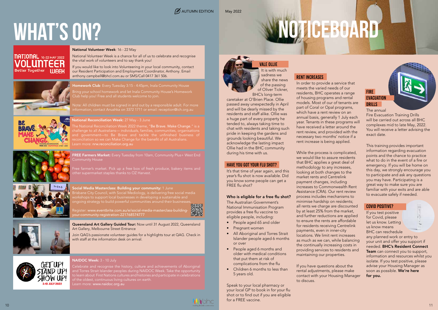#### $\mathcal{A}$  AUTUMN EDITION May 2022

## **WHAT'S ON?**

#### **NATIONAL** 16-22 MAY 2022 **Better Together WIEEK**







## **Noticeboard**

#### **FIRE EVACUATION DRILLS**

FREE Farmers Market: Every Tuesday from 10am, Community Plus+ West End Community House

Free farmer's market. Pick up a free box of fresh produce, bakery items and other supermarket staples thanks to OZ Harvest.



Social Media Masterclass: Building your community: 1 June Brisbane City Council, with Social Mediology, is delivering free social media workshops to support local businesses in developing a sustainable and

ongoing strategy to build powerful communities around their businesses.

Register: www.eventbrite.com.au/e/social-media-masterclass-buildingyour-community-registration-221768574777



Queensland Art Gallery Guided Tour: Now until 31 August 2022, Queensland Art Gallery, Melbourne Street Entrance

Join QAG's passionate volunteer guides for a highlights tour at QAG. Check in with staff at the information desk on arrival.



#### NAIDOC Week: 3 - 10 July

Celebrate and recognise the history, culture and achievements of Aboriginal and Torres Strait Islander peoples during NAIDOC Week. Take the opportunity to learn about First Nations cultures and histories and participate in celebrations of the oldest, continuous living cultures on earth. Learn more: www.naidoc.org.au

The National Reconciliation Week 2022 theme, "Be Brave. Make Change." is a challenge to all Australians— individuals, families, communities, organisations and government—to Be Brave and tackle the unfinished business of reconciliation so we can Make Change for the benefit of all Australians. Learn more: nrw.reconciliation.org.au



Bring your school homework and let Inala Community House's Homework Club help you! Free and all students welcome to join.

Note: All children must be signed in and out by a responsible adult. For more information, contact Anushka on 3372 1711 or email: reception@ich.org.au

#### **National Reconciliation Week:** 27 May - 3 June

National Volunteer Week: 16 - 22 May

National Volunteer Week is a chance for all of us to celebrate and recognise the vital work of volunteers and to say thank you!

If you would like to look into Volunteering in your local community, contact our Resident Participation and Employment Coordinator, Anthony. Email anthony.campbell@bhcl.com.au or SMS/Call 0417 361 506.

Homework Club: Every Tuesday 3:15 - 4:45pm, Inala Community House

#### Vale Ollie

It is with much sadness we share the news of the passing of Oliver Tickner,

BHC's long-term caretaker at O'Brien Place. Ollie passed away unexpectedly in April and will be dearly missed by the residents and staff alike. Ollie was a huge part of every property he tended to, always taking time to chat with residents and taking such pride in keeping the gardens and grounds looking beautiful. We acknowledge the lasting impact Ollie had in the BHC community during his time with us.

#### Have You Got Your Flu Shot?

It's that time of year again, and this year's flu shot is now available. Did you know some people can get a FREE flu shot?

#### Who is eligible for a free flu shot?

The Australian Government's National Immunisation Program provides a free flu vaccine to eligible people, including:

- People aged 65 and older
- Pregnant women
- All Aboriginal and Torres Strait Islander people aged 6 months or over
- People aged 6 months and older with medical conditions that put them at risk of complications from the flu
- Children 6 months to less than 5 years old.

Speak to your local pharmacy or your local GP to book in for your flu shot or to find out if you are eligible for a FREE vaccine.

#### Rent Increases

In order to provide a service that meets the varied needs of our residents, BHC operates a range of housing programs and rental models. Most of our of tenants are part of Coral or Opal programs, which have a rent review on an annual basis, generally 1 July each year. Tenants in these programs will have received a letter around the rent review, and provided with the necessary two months' notice if a rent increase is being applied.

While the process is complicated, we would like to assure residents that BHC applies a great deal of methodology to any increases, looking at both changes to the market rents and Centrelink payment changes, including increases to Commonwealth Rent Assistance (CRA). Our rent review process includes mechanisms to minimise hardship on residents; all rents we charge are discounted by at least 25% from the market, and further reductions are applied to ensure the rents are affordable for residents receiving Centrelink payments, even in inner-city locations. We limit rent increases as much as we can, while balancing the continually increasing costs in providing services to residents and maintaining our properties.

If you have questions about the rental adjustments, please make contact with your Housing Manager to discuss.

The annual

Fire Evacuation Training Drills will be carried out across all BHC complexes mid to late May, 2022. You will receive a letter advising the exact date.

This training provides important information regarding evacuation points and the chance to practice what to do in the event of a fire or emergency. If you will be home on this day, we strongly encourage you to participate and ask any questions you may have. Participating is a great way to make sure you are familiar with your exits and are able to evacuate safely if needed.

#### Covid Positive?

If you test positive for Covid, please let us know. Letting us know means BHC can reschedule any planned work or entry to your unit and offer you support if needed. BHC's Resident Connect Team can connect you to support, information and resources whilst you isolate. If you test positive, please advise your Housing Manager as soon as possible. We're here for you.